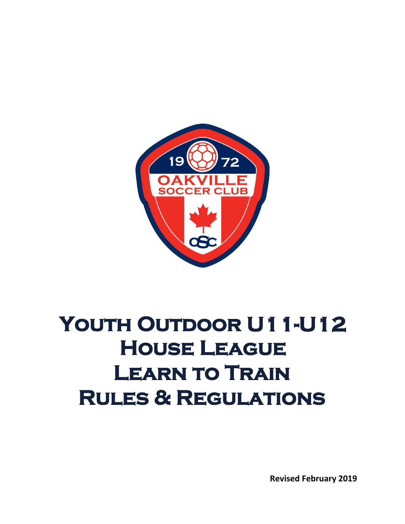

# YOUTH OUTDOOR U11-U12 **House League Learn to Train Rules & Regulations**

**Revised February 2019**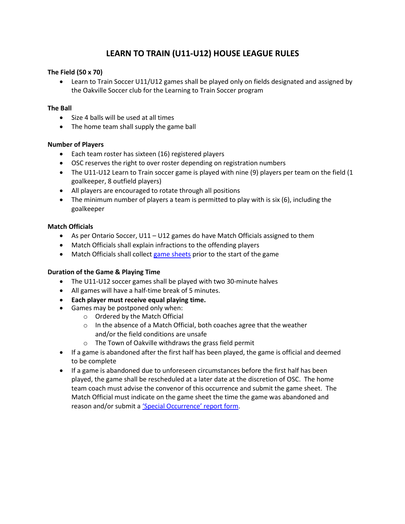# **LEARN TO TRAIN (U11-U12) HOUSE LEAGUE RULES**

# **The Field (50 x 70)**

• Learn to Train Soccer U11/U12 games shall be played only on fields designated and assigned by the Oakville Soccer club for the Learning to Train Soccer program

#### **The Ball**

- Size 4 balls will be used at all times
- The home team shall supply the game ball

#### **Number of Players**

- Each team roster has sixteen (16) registered players
- OSC reserves the right to over roster depending on registration numbers
- The U11-U12 Learn to Train soccer game is played with nine (9) players per team on the field (1 goalkeeper, 8 outfield players)
- All players are encouraged to rotate through all positions
- The minimum number of players a team is permitted to play with is six (6), including the goalkeeper

# **Match Officials**

- As per Ontario Soccer, U11 U12 games do have Match Officials assigned to them
- Match Officials shall explain infractions to the offending players
- Match Officials shall collect [game sheets](http://www.oakvillesoccer.ca/images/publications/2015/Youth-HL/yhl-game-sheet.pdf) prior to the start of the game

#### **Duration of the Game & Playing Time**

- The U11-U12 soccer games shall be played with two 30-minute halves
- All games will have a half-time break of 5 minutes.
- **Each player must receive equal playing time.**
- Games may be postponed only when:
	- o Ordered by the Match Official
	- o In the absence of a Match Official, both coaches agree that the weather and/or the field conditions are unsafe
	- o The Town of Oakville withdraws the grass field permit
- If a game is abandoned after the first half has been played, the game is official and deemed to be complete
- If a game is abandoned due to unforeseen circumstances before the first half has been played, the game shall be rescheduled at a later date at the discretion of OSC. The home team coach must advise the convenor of this occurrence and submit the game sheet. The Match Official must indicate on the game sheet the time the game was abandoned and reason and/or submit a 'Special [Occurrence](http://www.oakvillesoccer.ca/images/publications/2016/club-info/org-policies/osc-serious-occurrence-report-form-2016.pdf)' report form.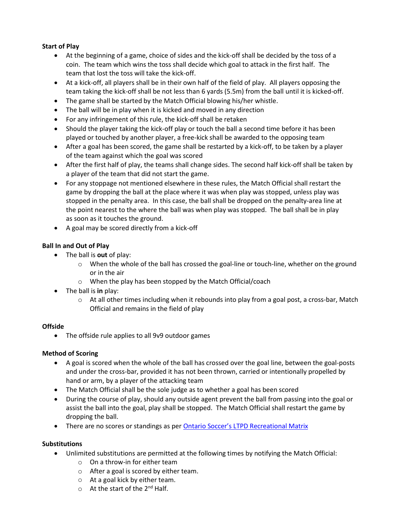# **Start of Play**

- At the beginning of a game, choice of sides and the kick-off shall be decided by the toss of a coin. The team which wins the toss shall decide which goal to attack in the first half. The team that lost the toss will take the kick-off.
- At a kick-off, all players shall be in their own half of the field of play. All players opposing the team taking the kick-off shall be not less than 6 yards (5.5m) from the ball until it is kicked-off.
- The game shall be started by the Match Official blowing his/her whistle.
- The ball will be in play when it is kicked and moved in any direction
- For any infringement of this rule, the kick-off shall be retaken
- Should the player taking the kick-off play or touch the ball a second time before it has been played or touched by another player, a free-kick shall be awarded to the opposing team
- After a goal has been scored, the game shall be restarted by a kick-off, to be taken by a player of the team against which the goal was scored
- After the first half of play, the teams shall change sides. The second half kick-off shall be taken by a player of the team that did not start the game.
- For any stoppage not mentioned elsewhere in these rules, the Match Official shall restart the game by dropping the ball at the place where it was when play was stopped, unless play was stopped in the penalty area. In this case, the ball shall be dropped on the penalty-area line at the point nearest to the where the ball was when play was stopped. The ball shall be in play as soon as it touches the ground.
- A goal may be scored directly from a kick-off

# **Ball In and Out of Play**

- The ball is **out** of play:
	- o When the whole of the ball has crossed the goal-line or touch-line, whether on the ground or in the air
	- o When the play has been stopped by the Match Official/coach
- The ball is **in** play:
	- $\circ$  At all other times including when it rebounds into play from a goal post, a cross-bar, Match Official and remains in the field of play

#### **Offside**

• The offside rule applies to all 9v9 outdoor games

#### **Method of Scoring**

- A goal is scored when the whole of the ball has crossed over the goal line, between the goal-posts and under the cross-bar, provided it has not been thrown, carried or intentionally propelled by hand or arm, by a player of the attacking team
- The Match Official shall be the sole judge as to whether a goal has been scored
- During the course of play, should any outside agent prevent the ball from passing into the goal or assist the ball into the goal, play shall be stopped. The Match Official shall restart the game by dropping the ball.
- There are no scores or standings as per [Ontario Soccer's LTPD Recreational Matrix](https://cdn4.sportngin.com/attachments/document/0112/8095/Recreational_MATRIX_Outdoor_Feb232018.pdf)

#### **Substitutions**

- Unlimited substitutions are permitted at the following times by notifying the Match Official:
	- o On a throw-in for either team
	- o After a goal is scored by either team.
	- o At a goal kick by either team.
	- $\circ$  At the start of the 2<sup>nd</sup> Half.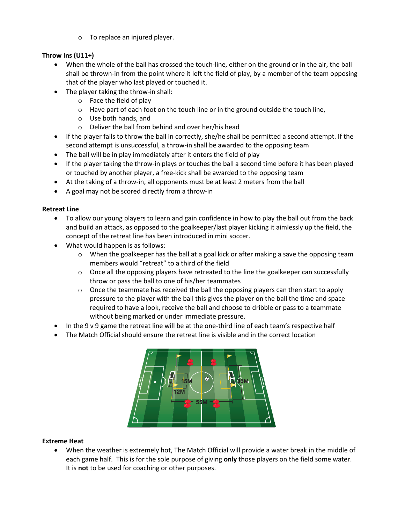o To replace an injured player.

# **Throw Ins (U11+)**

- When the whole of the ball has crossed the touch-line, either on the ground or in the air, the ball shall be thrown-in from the point where it left the field of play, by a member of the team opposing that of the player who last played or touched it.
- The player taking the throw-in shall:
	- o Face the field of play
	- o Have part of each foot on the touch line or in the ground outside the touch line,
	- o Use both hands, and
	- o Deliver the ball from behind and over her/his head
- If the player fails to throw the ball in correctly, she/he shall be permitted a second attempt. If the second attempt is unsuccessful, a throw-in shall be awarded to the opposing team
- The ball will be in play immediately after it enters the field of play
- If the player taking the throw-in plays or touches the ball a second time before it has been played or touched by another player, a free-kick shall be awarded to the opposing team
- At the taking of a throw-in, all opponents must be at least 2 meters from the ball
- A goal may not be scored directly from a throw-in

# **Retreat Line**

- To allow our young players to learn and gain confidence in how to play the ball out from the back and build an attack, as opposed to the goalkeeper/last player kicking it aimlessly up the field, the concept of the retreat line has been introduced in mini soccer.
- What would happen is as follows:
	- $\circ$  When the goalkeeper has the ball at a goal kick or after making a save the opposing team members would "retreat" to a third of the field
	- $\circ$  Once all the opposing players have retreated to the line the goalkeeper can successfully throw or pass the ball to one of his/her teammates
	- $\circ$  Once the teammate has received the ball the opposing players can then start to apply pressure to the player with the ball this gives the player on the ball the time and space required to have a look, receive the ball and choose to dribble or pass to a teammate without being marked or under immediate pressure.
- In the 9 v 9 game the retreat line will be at the one-third line of each team's respective half
- The Match Official should ensure the retreat line is visible and in the correct location



# **Extreme Heat**

• When the weather is extremely hot, The Match Official will provide a water break in the middle of each game half. This is for the sole purpose of giving **only** those players on the field some water. It is **not** to be used for coaching or other purposes.